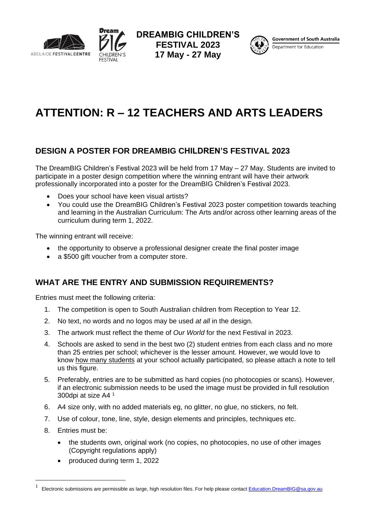



**DREAMBIG CHILDREN'S FESTIVAL 2023 17 May - 27 May**



**Government of South Australia** Department for Education

# **ATTENTION: R – 12 TEACHERS AND ARTS LEADERS**

## **DESIGN A POSTER FOR DREAMBIG CHILDREN'S FESTIVAL 2023**

The DreamBIG Children's Festival 2023 will be held from 17 May – 27 May. Students are invited to participate in a poster design competition where the winning entrant will have their artwork professionally incorporated into a poster for the DreamBIG Children's Festival 2023.

- Does your school have keen visual artists?
- You could use the DreamBIG Children's Festival 2023 poster competition towards teaching and learning in the Australian Curriculum: The Arts and/or across other learning areas of the curriculum during term 1, 2022.

The winning entrant will receive:

- the opportunity to observe a professional designer create the final poster image
- a \$500 gift voucher from a computer store.

## **WHAT ARE THE ENTRY AND SUBMISSION REQUIREMENTS?**

Entries must meet the following criteria:

- 1. The competition is open to South Australian children from Reception to Year 12.
- 2. No text, no words and no logos may be used *at all* in the design.
- 3. The artwork must reflect the theme of *Our World* for the next Festival in 2023.
- 4. Schools are asked to send in the best two (2) student entries from each class and no more than 25 entries per school; whichever is the lesser amount. However, we would love to know how many students at your school actually participated, so please attach a note to tell us this figure.
- 5. Preferably, entries are to be submitted as hard copies (no photocopies or scans). However, if an electronic submission needs to be used the image must be provided in full resolution 300dpi at size A4 <sup>1</sup>
- 6. A4 size only, with no added materials eg, no glitter, no glue, no stickers, no felt.
- 7. Use of colour, tone, line, style, design elements and principles, techniques etc.
- 8. Entries must be:
	- the students own, original work (no copies, no photocopies, no use of other images (Copyright regulations apply)
	- produced during term 1, 2022

<sup>1</sup> Electronic submissions are permissible as large, high resolution files. For help please contact [Education.DreamBIG@sa.gov.au](mailto:Education.DreamBIG@sa.gov.au)